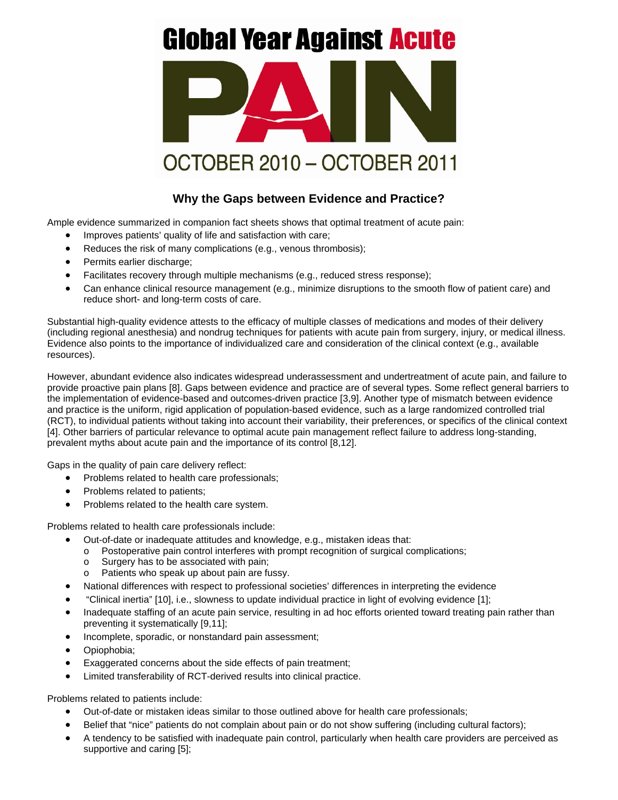## **Global Year Against Acute**



## **Why the Gaps between Evidence and Practice?**

Ample evidence summarized in companion fact sheets shows that optimal treatment of acute pain:

- Improves patients' quality of life and satisfaction with care;
- Reduces the risk of many complications (e.g., venous thrombosis);
- Permits earlier discharge;
- Facilitates recovery through multiple mechanisms (e.g., reduced stress response);
- Can enhance clinical resource management (e.g., minimize disruptions to the smooth flow of patient care) and reduce short- and long-term costs of care.

Substantial high-quality evidence attests to the efficacy of multiple classes of medications and modes of their delivery (including regional anesthesia) and nondrug techniques for patients with acute pain from surgery, injury, or medical illness. Evidence also points to the importance of individualized care and consideration of the clinical context (e.g., available resources).

However, abundant evidence also indicates widespread underassessment and undertreatment of acute pain, and failure to provide proactive pain plans [8]. Gaps between evidence and practice are of several types. Some reflect general barriers to the implementation of evidence-based and outcomes-driven practice [3,9]. Another type of mismatch between evidence and practice is the uniform, rigid application of population-based evidence, such as a large randomized controlled trial (RCT), to individual patients without taking into account their variability, their preferences, or specifics of the clinical context [4]. Other barriers of particular relevance to optimal acute pain management reflect failure to address long-standing, prevalent myths about acute pain and the importance of its control [8,12].

Gaps in the quality of pain care delivery reflect:

- Problems related to health care professionals;
- Problems related to patients;
- Problems related to the health care system.

Problems related to health care professionals include:

- Out-of-date or inadequate attitudes and knowledge, e.g., mistaken ideas that:
	- o Postoperative pain control interferes with prompt recognition of surgical complications;
	- o Surgery has to be associated with pain;
	- o Patients who speak up about pain are fussy.
- National differences with respect to professional societies' differences in interpreting the evidence
- "Clinical inertia" [10], i.e., slowness to update individual practice in light of evolving evidence [1];
- Inadequate staffing of an acute pain service, resulting in ad hoc efforts oriented toward treating pain rather than preventing it systematically [9,11];
- Incomplete, sporadic, or nonstandard pain assessment;
- Opiophobia;
- Exaggerated concerns about the side effects of pain treatment;
- Limited transferability of RCT-derived results into clinical practice.

Problems related to patients include:

- Out-of-date or mistaken ideas similar to those outlined above for health care professionals;
- Belief that "nice" patients do not complain about pain or do not show suffering (including cultural factors);
- A tendency to be satisfied with inadequate pain control, particularly when health care providers are perceived as supportive and caring [5];